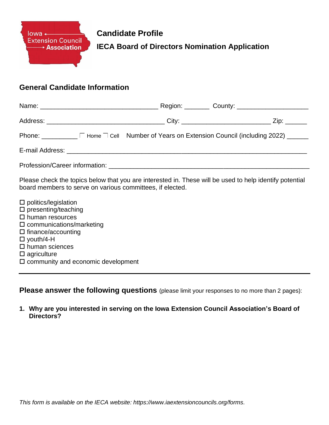

**Candidate Profile IECA Board of Directors Nomination Application** 

## **General Candidate Information**

|  |  | Phone: ________ F Home □ Cell Number of Years on Extension Council (including 2022) ____ |  |
|--|--|------------------------------------------------------------------------------------------|--|
|  |  |                                                                                          |  |
|  |  |                                                                                          |  |

Please check the topics below that you are interested in. These will be used to help identify potential board members to serve on various committees, if elected.

 $\square$  politics/legislation  $\square$  presenting/teaching  $\square$  human resources  $\square$  communications/marketing  $\square$  finance/accounting youth/4-H  $\square$  human sciences  $\square$  agriculture  $\square$  community and economic development

**Please answer the following questions** (please limit your responses to no more than 2 pages):

**1. Why are you interested in serving on the Iowa Extension Council Association's Board of Directors?**